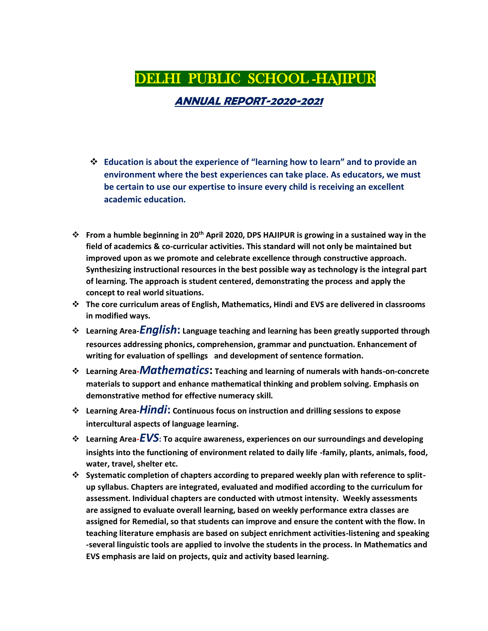# DELHI PUBLIC SCHOOL -HAJIPUR

 **ANNUAL REPORT-2020-2021**

- ❖ **Education is about the experience of "learning how to learn" and to provide an environment where the best experiences can take place. As educators, we must be certain to use our expertise to insure every child is receiving an excellent academic education.**
- ❖ **From a humble beginning in 20th April 2020, DPS HAJIPUR is growing in a sustained way in the field of academics & co-curricular activities. This standard will not only be maintained but improved upon as we promote and celebrate excellence through constructive approach. Synthesizing instructional resources in the best possible way as technology is the integral part of learning. The approach is student centered, demonstrating the process and apply the concept to real world situations.**
- ❖ **The core curriculum areas of English, Mathematics, Hindi and EVS are delivered in classrooms in modified ways.**
- ❖ **Learning Area-***English***: Language teaching and learning has been greatly supported through resources addressing phonics, comprehension, grammar and punctuation. Enhancement of writing for evaluation of spellings and development of sentence formation.**
- ❖ **Learning Area***-Mathematics***: Teaching and learning of numerals with hands-on-concrete materials to support and enhance mathematical thinking and problem solving. Emphasis on demonstrative method for effective numeracy skill.**
- ❖ **Learning Area-***Hindi***: Continuous focus on instruction and drilling sessions to expose intercultural aspects of language learning.**
- ❖ **Learning Area***-EVS***: To acquire awareness, experiences on our surroundings and developing insights into the functioning of environment related to daily life -family, plants, animals, food, water, travel, shelter etc.**
- ❖ **Systematic completion of chapters according to prepared weekly plan with reference to splitup syllabus. Chapters are integrated, evaluated and modified according to the curriculum for assessment. Individual chapters are conducted with utmost intensity. Weekly assessments are assigned to evaluate overall learning, based on weekly performance extra classes are assigned for Remedial, so that students can improve and ensure the content with the flow. In teaching literature emphasis are based on subject enrichment activities-listening and speaking -several linguistic tools are applied to involve the students in the process. In Mathematics and EVS emphasis are laid on projects, quiz and activity based learning.**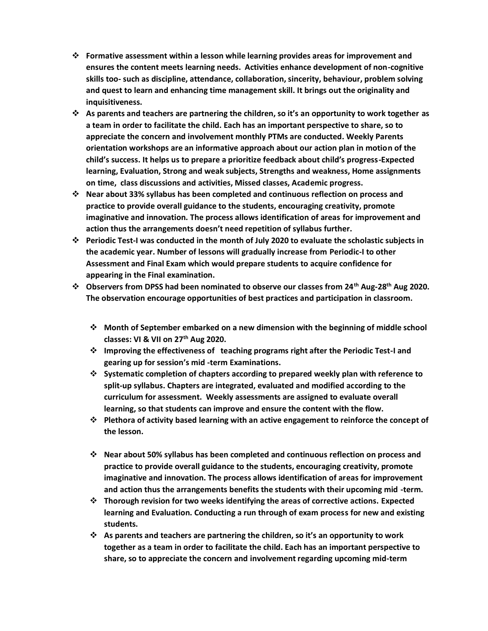- ❖ **Formative assessment within a lesson while learning provides areas for improvement and ensures the content meets learning needs. Activities enhance development of non-cognitive skills too- such as discipline, attendance, collaboration, sincerity, behaviour, problem solving and quest to learn and enhancing time management skill. It brings out the originality and inquisitiveness.**
- ❖ **As parents and teachers are partnering the children, so it's an opportunity to work together as a team in order to facilitate the child. Each has an important perspective to share, so to appreciate the concern and involvement monthly PTMs are conducted. Weekly Parents orientation workshops are an informative approach about our action plan in motion of the child's success. It helps us to prepare a prioritize feedback about child's progress-Expected learning, Evaluation, Strong and weak subjects, Strengths and weakness, Home assignments on time, class discussions and activities, Missed classes, Academic progress.**
- ❖ **Near about 33% syllabus has been completed and continuous reflection on process and practice to provide overall guidance to the students, encouraging creativity, promote imaginative and innovation. The process allows identification of areas for improvement and action thus the arrangements doesn't need repetition of syllabus further.**
- ❖ **Periodic Test-I was conducted in the month of July 2020 to evaluate the scholastic subjects in the academic year. Number of lessons will gradually increase from Periodic-I to other Assessment and Final Exam which would prepare students to acquire confidence for appearing in the Final examination.**
- ❖ **Observers from DPSS had been nominated to observe our classes from 24th Aug-28th Aug 2020. The observation encourage opportunities of best practices and participation in classroom.**
	- ❖ **Month of September embarked on a new dimension with the beginning of middle school classes: VI & VII on 27th Aug 2020.**
	- ❖ **Improving the effectiveness of teaching programs right after the Periodic Test-I and gearing up for session's mid -term Examinations.**
	- ❖ **Systematic completion of chapters according to prepared weekly plan with reference to split-up syllabus. Chapters are integrated, evaluated and modified according to the curriculum for assessment. Weekly assessments are assigned to evaluate overall learning, so that students can improve and ensure the content with the flow.**
	- ❖ **Plethora of activity based learning with an active engagement to reinforce the concept of the lesson.**
	- ❖ **Near about 50% syllabus has been completed and continuous reflection on process and practice to provide overall guidance to the students, encouraging creativity, promote imaginative and innovation. The process allows identification of areas for improvement and action thus the arrangements benefits the students with their upcoming mid -term.**
	- ❖ **Thorough revision for two weeks identifying the areas of corrective actions. Expected learning and Evaluation. Conducting a run through of exam process for new and existing students.**
	- ❖ **As parents and teachers are partnering the children, so it's an opportunity to work together as a team in order to facilitate the child. Each has an important perspective to share, so to appreciate the concern and involvement regarding upcoming mid-term**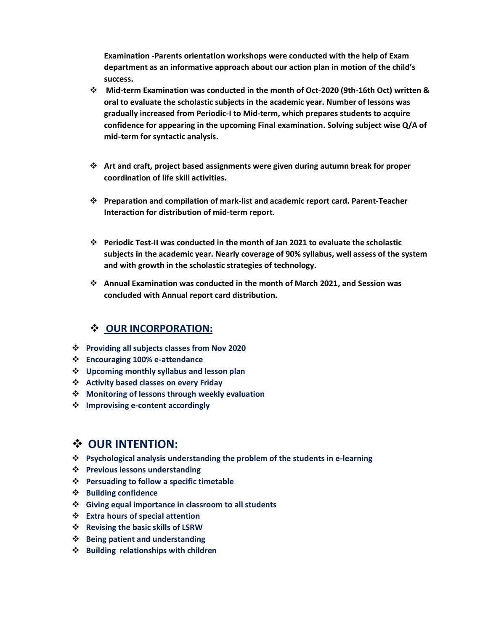**Examination -Parents orientation workshops were conducted with the help of Exam department as an informative approach about our action plan in motion of the child's success.**

- ❖ **Mid-term Examination was conducted in the month of Oct-2020 (9th-16th Oct) written & oral to evaluate the scholastic subjects in the academic year. Number of lessons was gradually increased from Periodic-I to Mid-term, which prepares students to acquire confidence for appearing in the upcoming Final examination. Solving subject wise Q/A of mid-term for syntactic analysis.**
- ❖ **Art and craft, project based assignments were given during autumn break for proper coordination of life skill activities.**
- ❖ **Preparation and compilation of mark-list and academic report card. Parent-Teacher Interaction for distribution of mid-term report.**
- ❖ **Periodic Test-II was conducted in the month of Jan 2021 to evaluate the scholastic subjects in the academic year. Nearly coverage of 90% syllabus, well assess of the system and with growth in the scholastic strategies of technology.**
- ❖ **Annual Examination was conducted in the month of March 2021, and Session was concluded with Annual report card distribution.**

#### ❖ **OUR INCORPORATION:**

- ❖ **Providing all subjects classes from Nov 2020**
- ❖ **Encouraging 100% e-attendance**
- ❖ **Upcoming monthly syllabus and lesson plan**
- ❖ **Activity based classes on every Friday**
- ❖ **Monitoring of lessons through weekly evaluation**
- ❖ **Improvising e-content accordingly**

### ❖ **OUR INTENTION:**

- ❖ **Psychological analysis understanding the problem of the students in e-learning**
- ❖ **Previous lessons understanding**
- ❖ **Persuading to follow a specific timetable**
- ❖ **Building confidence**
- ❖ **Giving equal importance in classroom to all students**
- ❖ **Extra hours of special attention**
- ❖ **Revising the basic skills of LSRW**
- ❖ **Being patient and understanding**
- ❖ **Building relationships with children**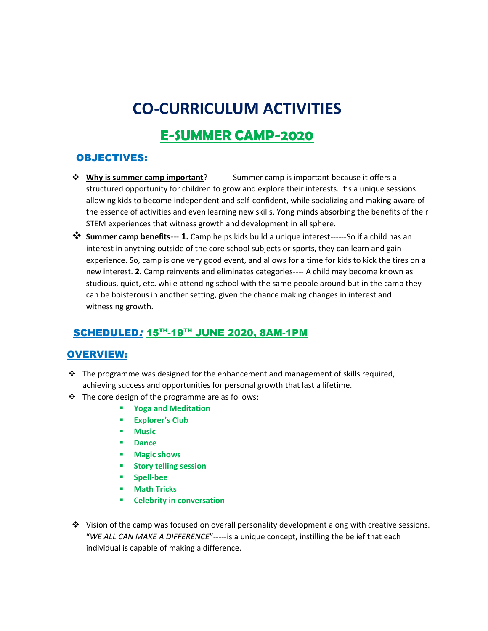# **CO-CURRICULUM ACTIVITIES**

# **E-SUMMER CAMP-2020**

### OBJECTIVES:

- ❖ **Why is summer camp important**? -------- Summer camp is important because it offers a structured opportunity for children to grow and explore their interests. It's a unique sessions allowing kids to become independent and self-confident, while socializing and making aware of the essence of activities and even learning new skills. Yong minds absorbing the benefits of their STEM experiences that witness growth and development in all sphere.
- ❖ **Summer camp benefits**--- **1.** Camp helps kids build a unique interest------So if a child has an interest in anything outside of the core school subjects or sports, they can learn and gain experience. So, camp is one very good event, and allows for a time for kids to kick the tires on a new interest. **2.** Camp reinvents and eliminates categories---- A child may become known as studious, quiet, etc. while attending school with the same people around but in the camp they can be boisterous in another setting, given the chance making changes in interest and witnessing growth.

## SCHEDULED: 15TH-19TH JUNE 2020, 8AM-1PM

#### OVERVIEW:

- $\div$  The programme was designed for the enhancement and management of skills required, achieving success and opportunities for personal growth that last a lifetime.
- ❖ The core design of the programme are as follows:
	- **Yoga and Meditation**
	- **Explorer's Club**
	- **Music**
	- **Dance**
	- **Magic shows**
	- **Story telling session**
	- **Spell-bee**
	- **Math Tricks**
	- **Celebrity in conversation**
- ❖ Vision of the camp was focused on overall personality development along with creative sessions. "*WE ALL CAN MAKE A DIFFERENCE*"-----is a unique concept, instilling the belief that each individual is capable of making a difference.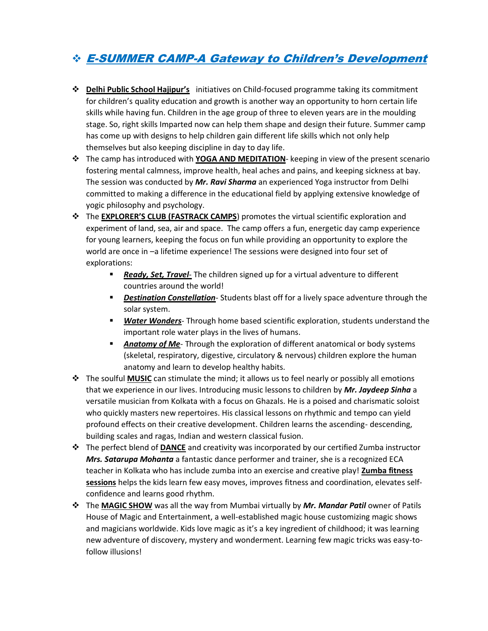## ❖ E-SUMMER CAMP-A Gateway to Children's Development

- ❖ **Delhi Public School Hajipur's** initiatives on Child-focused programme taking its commitment for children's quality education and growth is another way an opportunity to horn certain life skills while having fun. Children in the age group of three to eleven years are in the moulding stage. So, right skills Imparted now can help them shape and design their future. Summer camp has come up with designs to help children gain different life skills which not only help themselves but also keeping discipline in day to day life.
- ❖ The camp has introduced with **YOGA AND MEDITATION** keeping in view of the present scenario fostering mental calmness, improve health, heal aches and pains, and keeping sickness at bay. The session was conducted by *Mr. Ravi Sharma* an experienced Yoga instructor from Delhi committed to making a difference in the educational field by applying extensive knowledge of yogic philosophy and psychology.
- ❖ The **EXPLORER'S CLUB (FASTRACK CAMPS**) promotes the virtual scientific exploration and experiment of land, sea, air and space. The camp offers a fun, energetic day camp experience for young learners, keeping the focus on fun while providing an opportunity to explore the world are once in –a lifetime experience! The sessions were designed into four set of explorations:
	- **E** *Ready, Set, Travel* The children signed up for a virtual adventure to different countries around the world!
	- *Destination Constellation* Students blast off for a lively space adventure through the solar system.
	- *Water Wonders* Through home based scientific exploration, students understand the important role water plays in the lives of humans.
	- **EXT** Anatomy of Me-Through the exploration of different anatomical or body systems (skeletal, respiratory, digestive, circulatory & nervous) children explore the human anatomy and learn to develop healthy habits.
- ❖ The soulful **MUSIC** can stimulate the mind; it allows us to feel nearly or possibly all emotions that we experience in our lives. Introducing music lessons to children by *Mr. Jaydeep Sinha* a versatile musician from Kolkata with a focus on Ghazals. He is a poised and charismatic soloist who quickly masters new repertoires. His classical lessons on rhythmic and tempo can yield profound effects on their creative development. Children learns the ascending- descending, building scales and ragas, Indian and western classical fusion.
- ❖ The perfect blend of **DANCE** and creativity was incorporated by our certified Zumba instructor *Mrs. Satarupa Mohanta* a fantastic dance performer and trainer, she is a recognized ECA teacher in Kolkata who has include zumba into an exercise and creative play! **Zumba fitness sessions** helps the kids learn few easy moves, improves fitness and coordination, elevates selfconfidence and learns good rhythm.
- ❖ The **MAGIC SHOW** was all the way from Mumbai virtually by *Mr. Mandar Patil* owner of Patils House of Magic and Entertainment, a well-established magic house customizing magic shows and magicians worldwide. Kids love magic as it's a key ingredient of childhood; it was learning new adventure of discovery, mystery and wonderment. Learning few magic tricks was easy-tofollow illusions!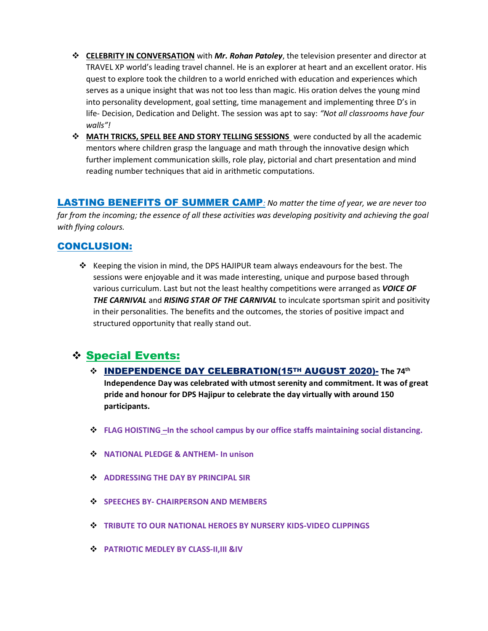- ❖ **CELEBRITY IN CONVERSATION** with *Mr. Rohan Patoley*, the television presenter and director at TRAVEL XP world's leading travel channel. He is an explorer at heart and an excellent orator. His quest to explore took the children to a world enriched with education and experiences which serves as a unique insight that was not too less than magic. His oration delves the young mind into personality development, goal setting, time management and implementing three D's in life- Decision, Dedication and Delight. The session was apt to say: *"Not all classrooms have four walls"!*
- ❖ **MATH TRICKS, SPELL BEE AND STORY TELLING SESSIONS** were conducted by all the academic mentors where children grasp the language and math through the innovative design which further implement communication skills, role play, pictorial and chart presentation and mind reading number techniques that aid in arithmetic computations.

LASTING BENEFITS OF SUMMER CAMP*: No matter the time of year, we are never too far from the incoming; the essence of all these activities was developing positivity and achieving the goal with flying colours.*

#### CONCLUSION:

❖ Keeping the vision in mind, the DPS HAJIPUR team always endeavours for the best. The sessions were enjoyable and it was made interesting, unique and purpose based through various curriculum. Last but not the least healthy competitions were arranged as *VOICE OF THE CARNIVAL* and *RISING STAR OF THE CARNIVAL* to inculcate sportsman spirit and positivity in their personalities. The benefits and the outcomes, the stories of positive impact and structured opportunity that really stand out.

## ❖ Special Events:

- ❖ INDEPENDENCE DAY CELEBRATION(15TH AUGUST 2020)- **The 74th Independence Day was celebrated with utmost serenity and commitment. It was of great pride and honour for DPS Hajipur to celebrate the day virtually with around 150 participants.**
- ❖ **FLAG HOISTING** *–***In the school campus by our office staffs maintaining social distancing.**
- ❖ **NATIONAL PLEDGE & ANTHEM- In unison**
- ❖ **ADDRESSING THE DAY BY PRINCIPAL SIR**
- ❖ **SPEECHES BY- CHAIRPERSON AND MEMBERS**
- ❖ **TRIBUTE TO OUR NATIONAL HEROES BY NURSERY KIDS-VIDEO CLIPPINGS**
- ❖ **PATRIOTIC MEDLEY BY CLASS-II,III &IV**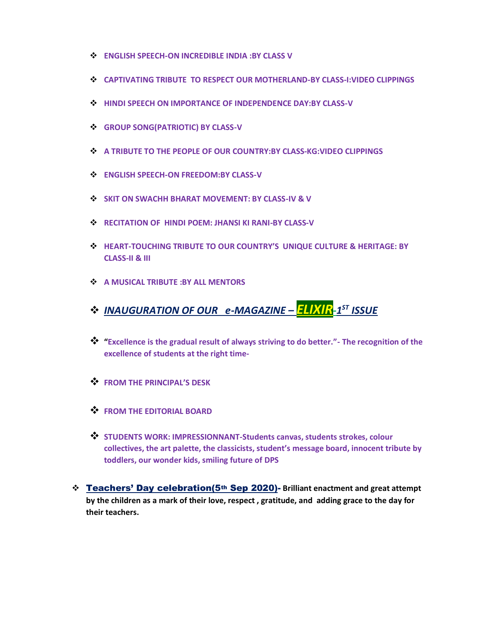- ❖ **ENGLISH SPEECH-ON INCREDIBLE INDIA :BY CLASS V**
- ❖ **CAPTIVATING TRIBUTE TO RESPECT OUR MOTHERLAND-BY CLASS-I:VIDEO CLIPPINGS**
- ❖ **HINDI SPEECH ON IMPORTANCE OF INDEPENDENCE DAY:BY CLASS-V**
- ❖ **GROUP SONG(PATRIOTIC) BY CLASS-V**
- ❖ **A TRIBUTE TO THE PEOPLE OF OUR COUNTRY:BY CLASS-KG:VIDEO CLIPPINGS**
- ❖ **ENGLISH SPEECH-ON FREEDOM:BY CLASS-V**
- ❖ **SKIT ON SWACHH BHARAT MOVEMENT: BY CLASS-IV & V**
- ❖ **RECITATION OF HINDI POEM: JHANSI KI RANI-BY CLASS-V**
- ❖ **HEART-TOUCHING TRIBUTE TO OUR COUNTRY'S UNIQUE CULTURE & HERITAGE: BY CLASS-II & III**
- ❖ **A MUSICAL TRIBUTE :BY ALL MENTORS**
- ❖ *INAUGURATION OF OUR e-MAGAZINE – ELIXIR-1 ST ISSUE*
- ❖ **"Excellence is the gradual result of always striving to do better."- The recognition of the excellence of students at the right time-**
- ❖ **FROM THE PRINCIPAL'S DESK**
- ❖ **FROM THE EDITORIAL BOARD**
- ❖ **STUDENTS WORK: IMPRESSIONNANT-Students canvas, students strokes, colour collectives, the art palette, the classicists, student's message board, innocent tribute by toddlers, our wonder kids, smiling future of DPS**
- ❖ Teachers' Day celebration(5th Sep 2020)- **Brilliant enactment and great attempt by the children as a mark of their love, respect , gratitude, and adding grace to the day for their teachers.**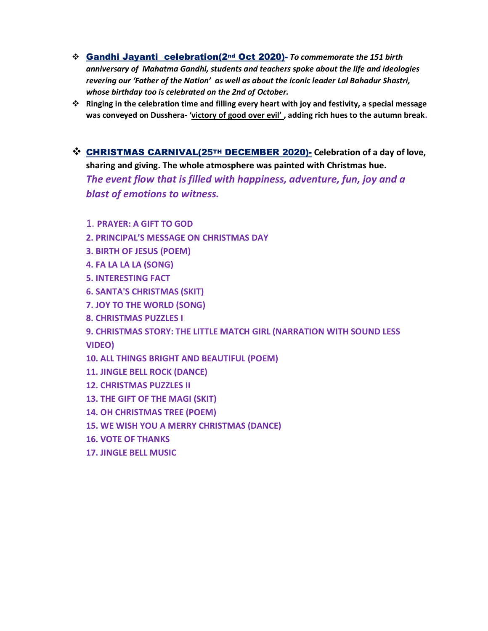- ❖ Gandhi Jayanti celebration(2nd Oct 2020)- *To commemorate the 151 birth anniversary of Mahatma Gandhi, students and teachers spoke about the life and ideologies revering our 'Father of the Nation' as well as about the iconic leader Lal Bahadur Shastri, whose birthday too is celebrated on the 2nd of October.*
- ❖ **Ringing in the celebration time and filling every heart with joy and festivity, a special message was conveyed on Dusshera- 'victory of good over evil' , adding rich hues to the autumn break.**
- ❖ CHRISTMAS CARNIVAL(25TH DECEMBER 2020)- **Celebration of a day of love, sharing and giving. The whole atmosphere was painted with Christmas hue.** *The event flow that is filled with happiness, adventure, fun, joy and a blast of emotions to witness.*
	- 1. **PRAYER: A GIFT TO GOD**
	- **2. PRINCIPAL'S MESSAGE ON CHRISTMAS DAY**
	- **3. BIRTH OF JESUS (POEM)**
	- **4. FA LA LA LA (SONG)**
	- **5. INTERESTING FACT**
	- **6. SANTA'S CHRISTMAS (SKIT)**
	- **7. JOY TO THE WORLD (SONG)**
	- **8. CHRISTMAS PUZZLES I**
	- **9. CHRISTMAS STORY: THE LITTLE MATCH GIRL (NARRATION WITH SOUND LESS VIDEO)**
	- **10. ALL THINGS BRIGHT AND BEAUTIFUL (POEM)**
	- **11. JINGLE BELL ROCK (DANCE)**
	- **12. CHRISTMAS PUZZLES II**
	- **13. THE GIFT OF THE MAGI (SKIT)**
	- **14. OH CHRISTMAS TREE (POEM)**
	- **15. WE WISH YOU A MERRY CHRISTMAS (DANCE)**
	- **16. VOTE OF THANKS**
	- **17. JINGLE BELL MUSIC**